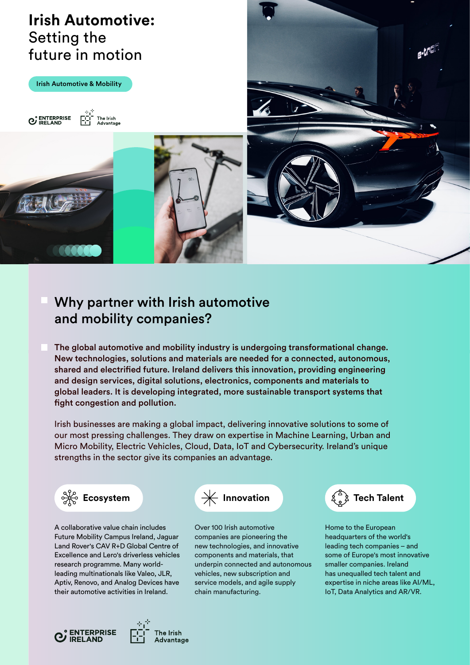# **Irish Automotive:** Setting the future in motion

Irish Automotive & Mobility









# Why partner with Irish automotive and mobility companies?

The global automotive and mobility industry is undergoing transformational change. New technologies, solutions and materials are needed for a connected, autonomous, shared and electrified future. Ireland delivers this innovation, providing engineering and design services, digital solutions, electronics, components and materials to global leaders. It is developing integrated, more sustainable transport systems that fight congestion and pollution.

Irish businesses are making a global impact, delivering innovative solutions to some of our most pressing challenges. They draw on expertise in Machine Learning, Urban and Micro Mobility, Electric Vehicles, Cloud, Data, IoT and Cybersecurity. Ireland's unique strengths in the sector give its companies an advantage.



A collaborative value chain includes Future Mobility Campus Ireland, Jaguar Land Rover's CAV R+D Global Centre of Excellence and Lero's driverless vehicles research programme. Many worldleading multinationals like Valeo, JLR, Aptiv, Renovo, and Analog Devices have their automotive activities in Ireland.



Over 100 Irish automotive companies are pioneering the new technologies, and innovative components and materials, that underpin connected and autonomous vehicles, new subscription and service models, and agile supply chain manufacturing.



Home to the European headquarters of the world's leading tech companies – and some of Europe's most innovative smaller companies. Ireland has unequalled tech talent and expertise in niche areas like AI/ML, IoT, Data Analytics and AR/VR.